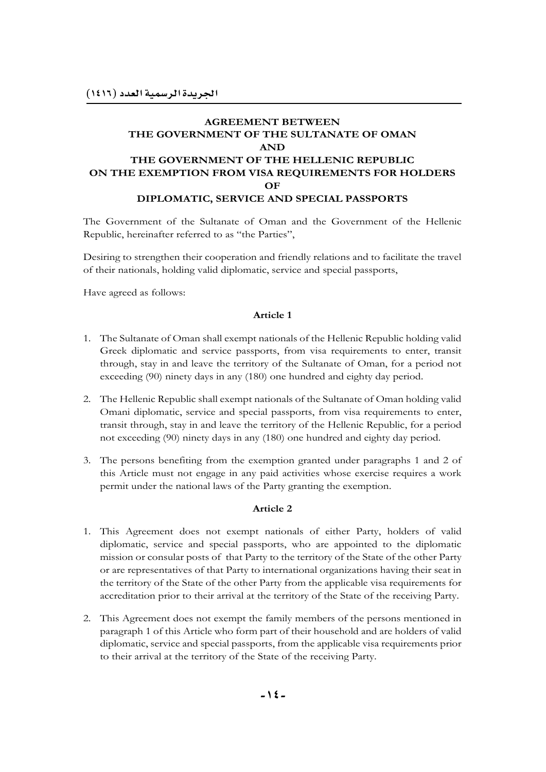# **AGREEMENT BETWEEN THE GOVERNMENT OF THE SULTANATE OF OMAN AND THE GOVERNMENT OF THE HELLENIC REPUBLIC ON THE EXEMPTION FROM VISA REQUIREMENTS FOR HOLDERS OF DIPLOMATIC, SERVICE AND SPECIAL PASSPORTS**

The Government of the Sultanate of Oman and the Government of the Hellenic Republic, hereinafter referred to as "the Parties",

Desiring to strengthen their cooperation and friendly relations and to facilitate the travel of their nationals, holding valid diplomatic, service and special passports,

Have agreed as follows:

#### **Article 1**

- 1. The Sultanate of Oman shall exempt nationals of the Hellenic Republic holding valid Greek diplomatic and service passports, from visa requirements to enter, transit through, stay in and leave the territory of the Sultanate of Oman, for a period not exceeding (90) ninety days in any (180) one hundred and eighty day period.
- 2. The Hellenic Republic shall exempt nationals of the Sultanate of Oman holding valid Omani diplomatic, service and special passports, from visa requirements to enter, transit through, stay in and leave the territory of the Hellenic Republic, for a period not exceeding (90) ninety days in any (180) one hundred and eighty day period.
- 3. The persons benefiting from the exemption granted under paragraphs 1 and 2 of this Article must not engage in any paid activities whose exercise requires a work permit under the national laws of the Party granting the exemption.

#### **Article 2**

- 1. This Agreement does not exempt nationals of either Party, holders of valid diplomatic, service and special passports, who are appointed to the diplomatic mission or consular posts of that Party to the territory of the State of the other Party or are representatives of that Party to international organizations having their seat in the territory of the State of the other Party from the applicable visa requirements for accreditation prior to their arrival at the territory of the State of the receiving Party.
- 2. This Agreement does not exempt the family members of the persons mentioned in paragraph 1 of this Article who form part of their household and are holders of valid diplomatic, service and special passports, from the applicable visa requirements prior to their arrival at the territory of the State of the receiving Party.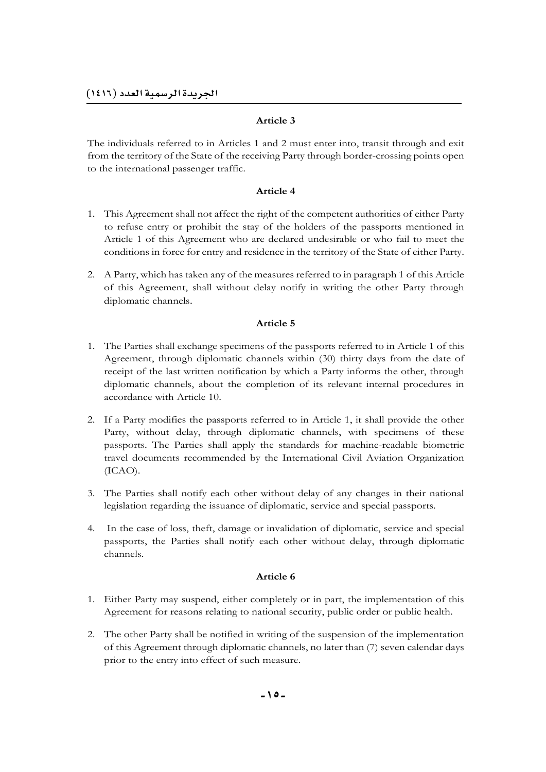## **Article 3**

The individuals referred to in Articles 1 and 2 must enter into, transit through and exit from the territory of the State of the receiving Party through border-crossing points open to the international passenger traffic.

## **Article 4**

- 1. This Agreement shall not affect the right of the competent authorities of either Party to refuse entry or prohibit the stay of the holders of the passports mentioned in Article 1 of this Agreement who are declared undesirable or who fail to meet the conditions in force for entry and residence in the territory of the State of either Party.
- 2. A Party, which has taken any of the measures referred to in paragraph 1 of this Article of this Agreement, shall without delay notify in writing the other Party through diplomatic channels.

## **Article 5**

- 1. The Parties shall exchange specimens of the passports referred to in Article 1 of this Agreement, through diplomatic channels within (30) thirty days from the date of receipt of the last written notification by which a Party informs the other, through diplomatic channels, about the completion of its relevant internal procedures in accordance with Article 10.
- 2. If a Party modifies the passports referred to in Article 1, it shall provide the other Party, without delay, through diplomatic channels, with specimens of these passports. The Parties shall apply the standards for machine-readable biometric travel documents recommended by the International Civil Aviation Organization (ICAO).
- 3. The Parties shall notify each other without delay of any changes in their national legislation regarding the issuance of diplomatic, service and special passports.
- 4. In the case of loss, theft, damage or invalidation of diplomatic, service and special passports, the Parties shall notify each other without delay, through diplomatic channels.

## **Article 6**

- 1. Either Party may suspend, either completely or in part, the implementation of this Agreement for reasons relating to national security, public order or public health.
- 2. The other Party shall be notified in writing of the suspension of the implementation of this Agreement through diplomatic channels, no later than (7) seven calendar days prior to the entry into effect of such measure.